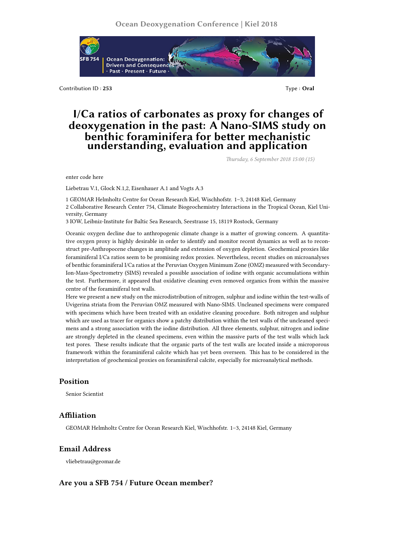

Contribution ID : **253** Type : **Oral**

# **I/Ca ratios of carbonates as proxy for changes of deoxygenation in the past: A Nano-SIMS study on benthic foraminifera for better mechanistic understanding, evaluation and application**

*Thursday, 6 September 2018 15:00 (15)*

enter code here

Liebetrau V.1, Glock N.1,2, Eisenhauer A.1 and Vogts A.3

1 GEOMAR Helmholtz Centre for Ocean Research Kiel, Wischhofstr. 1–3, 24148 Kiel, Germany 2 Collaborative Research Center 754, Climate Biogeochemistry Interactions in the Tropical Ocean, Kiel University, Germany

3 IOW, Leibniz-Institute for Baltic Sea Research, Seestrasse 15, 18119 Rostock, Germany

Oceanic oxygen decline due to anthropogenic climate change is a matter of growing concern. A quantitative oxygen proxy is highly desirable in order to identify and monitor recent dynamics as well as to reconstruct pre-Anthropocene changes in amplitude and extension of oxygen depletion. Geochemical proxies like foraminiferal I/Ca ratios seem to be promising redox proxies. Nevertheless, recent studies on microanalyses of benthic foraminiferal I/Ca ratios at the Peruvian Oxygen Minimum Zone (OMZ) measured with Secondary-Ion-Mass-Spectrometry (SIMS) revealed a possible association of iodine with organic accumulations within the test. Furthermore, it appeared that oxidative cleaning even removed organics from within the massive centre of the foraminiferal test walls.

Here we present a new study on the microdistribution of nitrogen, sulphur and iodine within the test-walls of Uvigerina striata from the Peruvian OMZ measured with Nano-SIMS. Uncleaned specimens were compared with specimens which have been treated with an oxidative cleaning procedure. Both nitrogen and sulphur which are used as tracer for organics show a patchy distribution within the test walls of the uncleaned specimens and a strong association with the iodine distribution. All three elements, sulphur, nitrogen and iodine are strongly depleted in the cleaned specimens, even within the massive parts of the test walls which lack test pores. These results indicate that the organic parts of the test walls are located inside a microporous framework within the foraminiferal calcite which has yet been overseen. This has to be considered in the interpretation of geochemical proxies on foraminiferal calcite, especially for microanalytical methods.

#### **Position**

Senior Scientist

#### **Affiliation**

GEOMAR Helmholtz Centre for Ocean Research Kiel, Wischhofstr. 1–3, 24148 Kiel, Germany

### **Email Address**

vliebetrau@geomar.de

## **Are you a SFB 754 / Future Ocean member?**